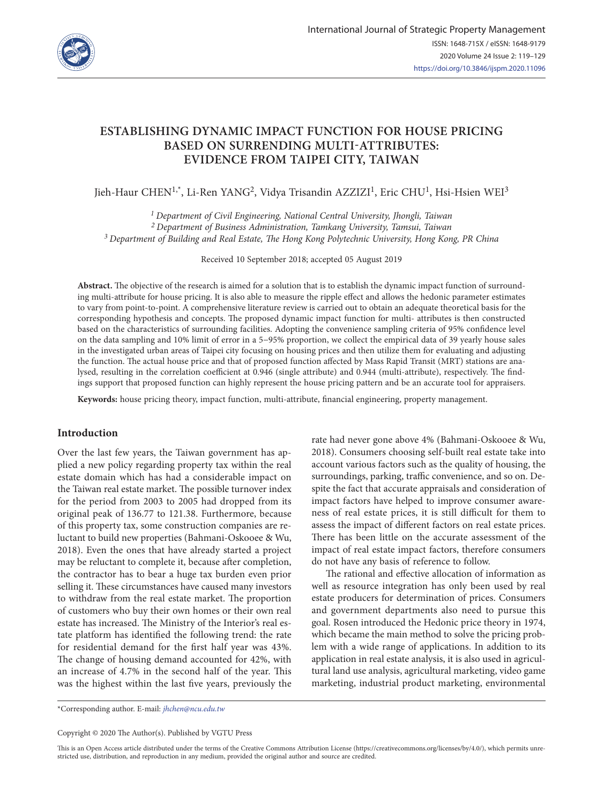

# **ESTABLISHING DYNAMIC IMPACT FUNCTION FOR HOUSE PRICING BASED ON SURRENDING MULTI-ATTRIBUTES: EVIDENCE FROM TAIPEI CITY, TAIWAN**

Jieh-Haur CHEN<sup>1,\*</sup>, Li-Ren YANG<sup>2</sup>, Vidya Trisandin AZZIZI<sup>1</sup>, Eric CHU<sup>1</sup>, Hsi-Hsien WEI<sup>3</sup>

*1 Department of Civil Engineering, National Central University, Jhongli, Taiwan 2 Department of Business Administration, Tamkang University, Tamsui, Taiwan 3 Department of Building and Real Estate, The Hong Kong Polytechnic University, Hong Kong, PR China*

Received 10 September 2018; accepted 05 August 2019

**Abstract.** The objective of the research is aimed for a solution that is to establish the dynamic impact function of surrounding multi-attribute for house pricing. It is also able to measure the ripple effect and allows the hedonic parameter estimates to vary from point-to-point. A comprehensive literature review is carried out to obtain an adequate theoretical basis for the corresponding hypothesis and concepts. The proposed dynamic impact function for multi- attributes is then constructed based on the characteristics of surrounding facilities. Adopting the convenience sampling criteria of 95% confidence level on the data sampling and 10% limit of error in a 5−95% proportion, we collect the empirical data of 39 yearly house sales in the investigated urban areas of Taipei city focusing on housing prices and then utilize them for evaluating and adjusting the function. The actual house price and that of proposed function affected by Mass Rapid Transit (MRT) stations are analysed, resulting in the correlation coefficient at 0.946 (single attribute) and 0.944 (multi-attribute), respectively. The findings support that proposed function can highly represent the house pricing pattern and be an accurate tool for appraisers.

**Keywords:** house pricing theory, impact function, multi-attribute, financial engineering, property management.

## **Introduction**

Over the last few years, the Taiwan government has applied a new policy regarding property tax within the real estate domain which has had a considerable impact on the Taiwan real estate market. The possible turnover index for the period from 2003 to 2005 had dropped from its original peak of 136.77 to 121.38. Furthermore, because of this property tax, some construction companies are reluctant to build new properties (Bahmani-Oskooee & Wu, 2018). Even the ones that have already started a project may be reluctant to complete it, because after completion, the contractor has to bear a huge tax burden even prior selling it. These circumstances have caused many investors to withdraw from the real estate market. The proportion of customers who buy their own homes or their own real estate has increased. The Ministry of the Interior's real estate platform has identified the following trend: the rate for residential demand for the first half year was 43%. The change of housing demand accounted for 42%, with an increase of 4.7% in the second half of the year. This was the highest within the last five years, previously the rate had never gone above 4% (Bahmani-Oskooee & Wu, 2018). Consumers choosing self-built real estate take into account various factors such as the quality of housing, the surroundings, parking, traffic convenience, and so on. Despite the fact that accurate appraisals and consideration of impact factors have helped to improve consumer awareness of real estate prices, it is still difficult for them to assess the impact of different factors on real estate prices. There has been little on the accurate assessment of the impact of real estate impact factors, therefore consumers do not have any basis of reference to follow.

The rational and effective allocation of information as well as resource integration has only been used by real estate producers for determination of prices. Consumers and government departments also need to pursue this goal. Rosen introduced the Hedonic price theory in 1974, which became the main method to solve the pricing problem with a wide range of applications. In addition to its application in real estate analysis, it is also used in agricultural land use analysis, agricultural marketing, video game marketing, industrial product marketing, environmental

\*Corresponding author. E-mail: *[jhchen@ncu.edu.tw](mailto:jhchen@ncu.edu.tw)*

Copyright © 2020 The Author(s). Published by VGTU Press

This is an Open Access article distributed under the terms of the Creative Commons Attribution License [\(https://creativecommons.org/licenses/by/4.0/\)](http://creativecommons.org/licenses/by/4.0/), which permits unrestricted use, distribution, and reproduction in any medium, provided the original author and source are credited.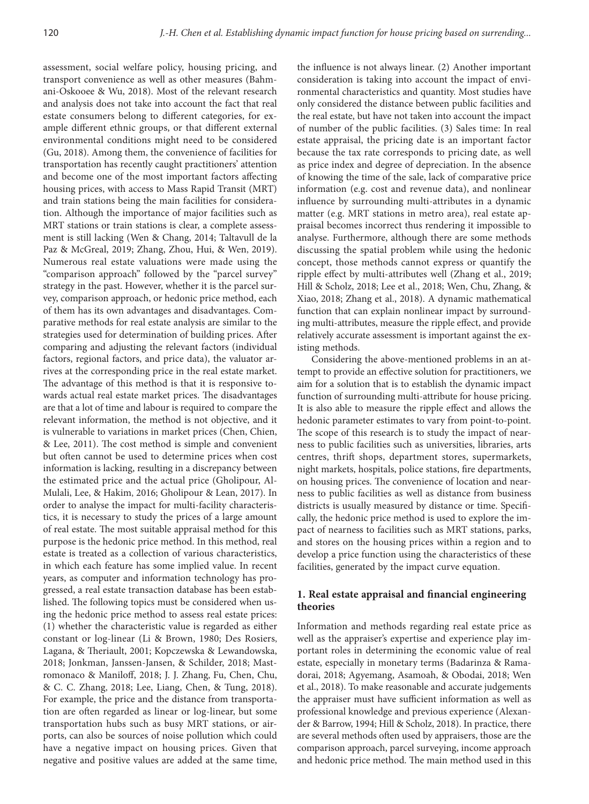assessment, social welfare policy, housing pricing, and transport convenience as well as other measures (Bahmani-Oskooee & Wu, 2018). Most of the relevant research and analysis does not take into account the fact that real estate consumers belong to different categories, for example different ethnic groups, or that different external environmental conditions might need to be considered (Gu, 2018). Among them, the convenience of facilities for transportation has recently caught practitioners' attention and become one of the most important factors affecting housing prices, with access to Mass Rapid Transit (MRT) and train stations being the main facilities for consideration. Although the importance of major facilities such as MRT stations or train stations is clear, a complete assessment is still lacking (Wen & Chang, 2014; Taltavull de la Paz & McGreal, 2019; Zhang, Zhou, Hui, & Wen, 2019). Numerous real estate valuations were made using the "comparison approach" followed by the "parcel survey" strategy in the past. However, whether it is the parcel survey, comparison approach, or hedonic price method, each of them has its own advantages and disadvantages. Comparative methods for real estate analysis are similar to the strategies used for determination of building prices. After comparing and adjusting the relevant factors (individual factors, regional factors, and price data), the valuator arrives at the corresponding price in the real estate market. The advantage of this method is that it is responsive towards actual real estate market prices. The disadvantages are that a lot of time and labour is required to compare the relevant information, the method is not objective, and it is vulnerable to variations in market prices (Chen, Chien, & Lee, 2011). The cost method is simple and convenient but often cannot be used to determine prices when cost information is lacking, resulting in a discrepancy between the estimated price and the actual price (Gholipour, Al-Mulali, Lee, & Hakim, 2016; Gholipour & Lean, 2017). In order to analyse the impact for multi-facility characteristics, it is necessary to study the prices of a large amount of real estate. The most suitable appraisal method for this purpose is the hedonic price method. In this method, real estate is treated as a collection of various characteristics, in which each feature has some implied value. In recent years, as computer and information technology has progressed, a real estate transaction database has been established. The following topics must be considered when using the hedonic price method to assess real estate prices: (1) whether the characteristic value is regarded as either constant or log-linear (Li & Brown, 1980; Des Rosiers, Lagana, & Theriault, 2001; Kopczewska & Lewandowska, 2018; Jonkman, Janssen-Jansen, & Schilder, 2018; Mastromonaco & Maniloff, 2018; J. J. Zhang, Fu, Chen, Chu, & C. C. Zhang, 2018; Lee, Liang, Chen, & Tung, 2018). For example, the price and the distance from transportation are often regarded as linear or log-linear, but some transportation hubs such as busy MRT stations, or airports, can also be sources of noise pollution which could have a negative impact on housing prices. Given that negative and positive values are added at the same time,

the influence is not always linear. (2) Another important consideration is taking into account the impact of environmental characteristics and quantity. Most studies have only considered the distance between public facilities and the real estate, but have not taken into account the impact of number of the public facilities. (3) Sales time: In real estate appraisal, the pricing date is an important factor because the tax rate corresponds to pricing date, as well as price index and degree of depreciation. In the absence of knowing the time of the sale, lack of comparative price information (e.g. cost and revenue data), and nonlinear influence by surrounding multi-attributes in a dynamic matter (e.g. MRT stations in metro area), real estate appraisal becomes incorrect thus rendering it impossible to analyse. Furthermore, although there are some methods discussing the spatial problem while using the hedonic concept, those methods cannot express or quantify the ripple effect by multi-attributes well (Zhang et al., 2019; Hill & Scholz, 2018; Lee et al., 2018; Wen, Chu, Zhang, & Xiao, 2018; Zhang et al., 2018). A dynamic mathematical function that can explain nonlinear impact by surrounding multi-attributes, measure the ripple effect, and provide relatively accurate assessment is important against the existing methods.

Considering the above-mentioned problems in an attempt to provide an effective solution for practitioners, we aim for a solution that is to establish the dynamic impact function of surrounding multi-attribute for house pricing. It is also able to measure the ripple effect and allows the hedonic parameter estimates to vary from point-to-point. The scope of this research is to study the impact of nearness to public facilities such as universities, libraries, arts centres, thrift shops, department stores, supermarkets, night markets, hospitals, police stations, fire departments, on housing prices. The convenience of location and nearness to public facilities as well as distance from business districts is usually measured by distance or time. Specifically, the hedonic price method is used to explore the impact of nearness to facilities such as MRT stations, parks, and stores on the housing prices within a region and to develop a price function using the characteristics of these facilities, generated by the impact curve equation.

# **1. Real estate appraisal and financial engineering theories**

Information and methods regarding real estate price as well as the appraiser's expertise and experience play important roles in determining the economic value of real estate, especially in monetary terms (Badarinza & Ramadorai, 2018; Agyemang, Asamoah, & Obodai, 2018; Wen et al., 2018). To make reasonable and accurate judgements the appraiser must have sufficient information as well as professional knowledge and previous experience (Alexander & Barrow, 1994; Hill & Scholz, 2018). In practice, there are several methods often used by appraisers, those are the comparison approach, parcel surveying, income approach and hedonic price method. The main method used in this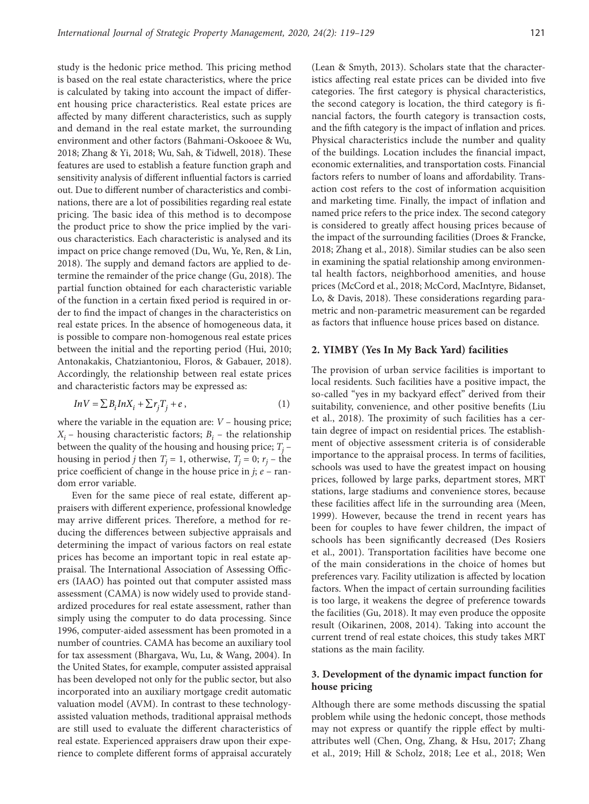study is the hedonic price method. This pricing method is based on the real estate characteristics, where the price is calculated by taking into account the impact of different housing price characteristics. Real estate prices are affected by many different characteristics, such as supply and demand in the real estate market, the surrounding environment and other factors (Bahmani-Oskooee & Wu, 2018; Zhang & Yi, 2018; Wu, Sah, & Tidwell, 2018). These features are used to establish a feature function graph and sensitivity analysis of different influential factors is carried out. Due to different number of characteristics and combinations, there are a lot of possibilities regarding real estate pricing. The basic idea of this method is to decompose the product price to show the price implied by the various characteristics. Each characteristic is analysed and its impact on price change removed (Du, Wu, Ye, Ren, & Lin, 2018). The supply and demand factors are applied to determine the remainder of the price change (Gu, 2018). The partial function obtained for each characteristic variable of the function in a certain fixed period is required in order to find the impact of changes in the characteristics on real estate prices. In the absence of homogeneous data, it is possible to compare non-homogenous real estate prices between the initial and the reporting period (Hui, 2010; Antonakakis, Chatziantoniou, Floros, & Gabauer, 2018). Accordingly, the relationship between real estate prices and characteristic factors may be expressed as:

$$
InV = \sum B_i InX_i + \sum r_j T_j + e \,,\tag{1}
$$

where the variable in the equation are: *V* – housing price;  $X_i$  – housing characteristic factors;  $B_i$  – the relationship between the quality of the housing and housing price;  $T_j$  – housing in period *j* then  $T_j = 1$ , otherwise,  $T_j = 0$ ;  $r_j$  – the price coefficient of change in the house price in *j*; *e* – random error variable.

Even for the same piece of real estate, different appraisers with different experience, professional knowledge may arrive different prices. Therefore, a method for reducing the differences between subjective appraisals and determining the impact of various factors on real estate prices has become an important topic in real estate appraisal. The International Association of Assessing Officers (IAAO) has pointed out that computer assisted mass assessment (CAMA) is now widely used to provide standardized procedures for real estate assessment, rather than simply using the computer to do data processing. Since 1996, computer-aided assessment has been promoted in a number of countries. CAMA has become an auxiliary tool for tax assessment (Bhargava, Wu, Lu, & Wang, 2004). In the United States, for example, computer assisted appraisal has been developed not only for the public sector, but also incorporated into an auxiliary mortgage credit automatic valuation model (AVM). In contrast to these technologyassisted valuation methods, traditional appraisal methods are still used to evaluate the different characteristics of real estate. Experienced appraisers draw upon their experience to complete different forms of appraisal accurately (Lean & Smyth, 2013). Scholars state that the characteristics affecting real estate prices can be divided into five categories. The first category is physical characteristics, the second category is location, the third category is financial factors, the fourth category is transaction costs, and the fifth category is the impact of inflation and prices. Physical characteristics include the number and quality of the buildings. Location includes the financial impact, economic externalities, and transportation costs. Financial factors refers to number of loans and affordability. Transaction cost refers to the cost of information acquisition and marketing time. Finally, the impact of inflation and named price refers to the price index. The second category is considered to greatly affect housing prices because of the impact of the surrounding facilities (Droes & Francke, 2018; Zhang et al., 2018). Similar studies can be also seen in examining the spatial relationship among environmental health factors, neighborhood amenities, and house prices (McCord et al., 2018; McCord, MacIntyre, Bidanset, Lo, & Davis, 2018). These considerations regarding parametric and non-parametric measurement can be regarded as factors that influence house prices based on distance.

#### **2. YIMBY (Yes In My Back Yard) facilities**

The provision of urban service facilities is important to local residents. Such facilities have a positive impact, the so-called "yes in my backyard effect" derived from their suitability, convenience, and other positive benefits (Liu et al., 2018). The proximity of such facilities has a certain degree of impact on residential prices. The establishment of objective assessment criteria is of considerable importance to the appraisal process. In terms of facilities, schools was used to have the greatest impact on housing prices, followed by large parks, department stores, MRT stations, large stadiums and convenience stores, because these facilities affect life in the surrounding area (Meen, 1999). However, because the trend in recent years has been for couples to have fewer children, the impact of schools has been significantly decreased (Des Rosiers et al., 2001). Transportation facilities have become one of the main considerations in the choice of homes but preferences vary. Facility utilization is affected by location factors. When the impact of certain surrounding facilities is too large, it weakens the degree of preference towards the facilities (Gu, 2018). It may even produce the opposite result (Oikarinen, 2008, 2014). Taking into account the current trend of real estate choices, this study takes MRT stations as the main facility.

## **3. Development of the dynamic impact function for house pricing**

Although there are some methods discussing the spatial problem while using the hedonic concept, those methods may not express or quantify the ripple effect by multiattributes well (Chen, Ong, Zhang, & Hsu, 2017; Zhang et al., 2019; Hill & Scholz, 2018; Lee et al., 2018; Wen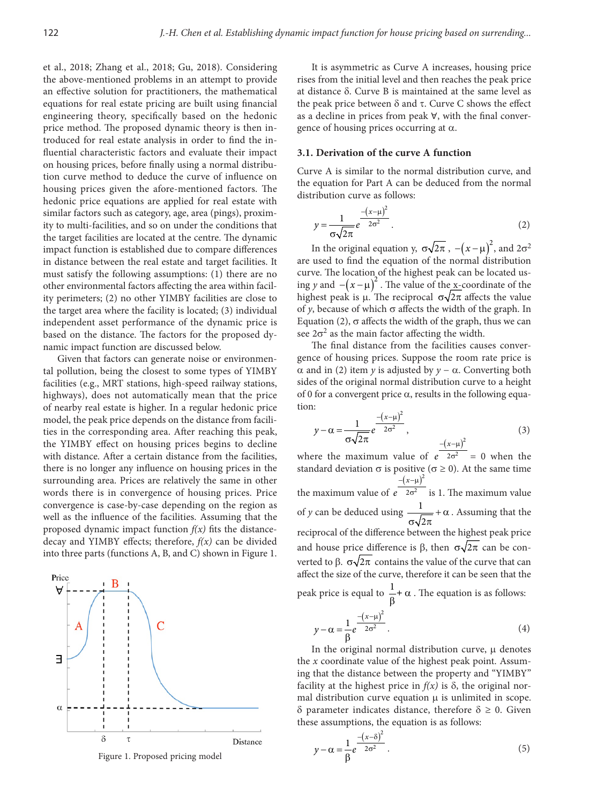et al., 2018; Zhang et al., 2018; Gu, 2018). Considering the above-mentioned problems in an attempt to provide an effective solution for practitioners, the mathematical equations for real estate pricing are built using financial engineering theory, specifically based on the hedonic price method. The proposed dynamic theory is then introduced for real estate analysis in order to find the influential characteristic factors and evaluate their impact on housing prices, before finally using a normal distribution curve method to deduce the curve of influence on housing prices given the afore-mentioned factors. The hedonic price equations are applied for real estate with similar factors such as category, age, area (pings), proximity to multi-facilities, and so on under the conditions that the target facilities are located at the centre. The dynamic impact function is established due to compare differences in distance between the real estate and target facilities. It must satisfy the following assumptions: (1) there are no other environmental factors affecting the area within facility perimeters; (2) no other YIMBY facilities are close to the target area where the facility is located; (3) individual independent asset performance of the dynamic price is based on the distance. The factors for the proposed dynamic impact function are discussed below.

Given that factors can generate noise or environmental pollution, being the closest to some types of YIMBY facilities (e.g., MRT stations, high-speed railway stations, highways), does not automatically mean that the price of nearby real estate is higher. In a regular hedonic price model, the peak price depends on the distance from facilities in the corresponding area. After reaching this peak, the YIMBY effect on housing prices begins to decline with distance. After a certain distance from the facilities, there is no longer any influence on housing prices in the surrounding area. Prices are relatively the same in other words there is in convergence of housing prices. Price convergence is case-by-case depending on the region as well as the influence of the facilities. Assuming that the proposed dynamic impact function  $f(x)$  fits the distancedecay and YIMBY effects; therefore, *f(x)* can be divided into three parts (functions A, B, and C) shown in Figure 1.



It is asymmetric as Curve A increases, housing price rises from the initial level and then reaches the peak price at distance δ. Curve B is maintained at the same level as the peak price between  $δ$  and  $τ$ . Curve C shows the effect as a decline in prices from peak ∀, with the final convergence of housing prices occurring at  $α$ .

## **3.1. Derivation of the curve A function**

Curve A is similar to the normal distribution curve, and the equation for Part A can be deduced from the normal distribution curve as follows:

$$
y = \frac{1}{\sigma\sqrt{2\pi}}e^{-\frac{(x-\mu)^2}{2\sigma^2}}.
$$
 (2)

In the original equation y,  $\sigma \sqrt{2\pi}$ ,  $-(x-\mu)^2$ , and  $2\sigma^2$ are used to find the equation of the normal distribution curve. The location of the highest peak can be located using *y* and  $- (x - \mu)^2$ . The value of the x-coordinate of the highest peak is  $\mu$ . The reciprocal  $\sigma\sqrt{2\pi}$  affects the value of *y*, because of which  $\sigma$  affects the width of the graph. In Equation (2), σ affects the width of the graph, thus we can see  $2\sigma^2$  as the main factor affecting the width.

The final distance from the facilities causes convergence of housing prices. Suppose the room rate price is α and in (2) item *y* is adjusted by *y* − α. Converting both sides of the original normal distribution curve to a height of 0 for a convergent price  $\alpha$ , results in the following equation:

$$
y - \alpha = \frac{1}{\sigma \sqrt{2\pi}} e^{\frac{-(x-\mu)^2}{2\sigma^2}}, \tag{3}
$$

where the maximum value of  $e^{2\sigma^2} = 0$  when the standard deviation  $\sigma$  is positive ( $\sigma \ge 0$ ). At the same time the maximum value of  $(x-\mu)^2$  $2\sigma^2$ *x e*  $-(x-\mu)$  $σ<sup>2</sup>$  is 1. The maximum value of *y* can be deduced using  $\frac{1}{\sqrt{2}}$  $\overline{c}$  $+ \alpha$  $\sigma\sqrt{2\pi}$ . Assuming that the reciprocal of the difference between the highest peak price and house price difference is β, then  $\sigma \sqrt{2\pi}$  can be converted to β.  $\sigma\sqrt{2\pi}$  contains the value of the curve that can affect the size of the curve, therefore it can be seen that the peak price is equal to  $\frac{1}{\beta} + \alpha$ . The equation is as follows:

$$
y - \alpha = \frac{1}{\beta} e^{\frac{-(x-\mu)^2}{2\sigma^2}}.
$$
 (4)

In the original normal distribution curve, μ denotes the *x* coordinate value of the highest peak point. Assuming that the distance between the property and "YIMBY" facility at the highest price in  $f(x)$  is  $\delta$ , the original normal distribution curve equation μ is unlimited in scope. δ parameter indicates distance, therefore δ ≥ 0. Given these assumptions, the equation is as follows:

$$
y - \alpha = \frac{1}{\beta} e^{\frac{-(x-\delta)^2}{2\sigma^2}}.
$$
 (5)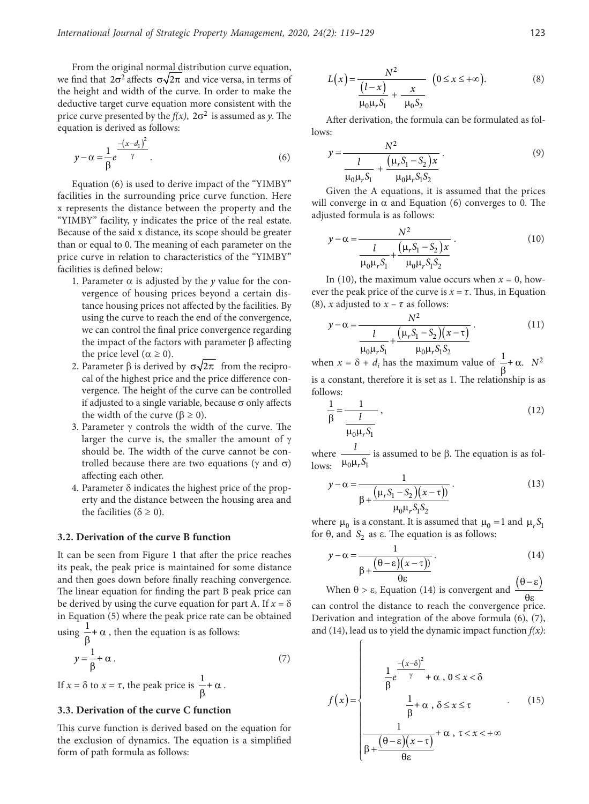From the original normal distribution curve equation, we find that  $2\sigma^2$  affects  $\sigma\sqrt{2\pi}$  and vice versa, in terms of the height and width of the curve. In order to make the deductive target curve equation more consistent with the price curve presented by the  $f(x)$ ,  $2\sigma^2$  is assumed as *y*. The equation is derived as follows:

$$
y - \alpha = \frac{1}{\beta} e^{\frac{-(x - d_1)^2}{\gamma}}.
$$
 (6)

Equation (6) is used to derive impact of the "YIMBY" facilities in the surrounding price curve function. Here x represents the distance between the property and the "YIMBY" facility, y indicates the price of the real estate. Because of the said x distance, its scope should be greater than or equal to 0. The meaning of each parameter on the price curve in relation to characteristics of the "YIMBY" facilities is defined below:

- 1. Parameter  $\alpha$  is adjusted by the *y* value for the convergence of housing prices beyond a certain distance housing prices not affected by the facilities. By using the curve to reach the end of the convergence, we can control the final price convergence regarding the impact of the factors with parameter  $β$  affecting the price level ( $\alpha \ge 0$ ).
- 2. Parameter β is derived by  $\sigma\sqrt{2\pi}$  from the reciprocal of the highest price and the price difference convergence. The height of the curve can be controlled if adjusted to a single variable, because  $\sigma$  only affects the width of the curve ( $β ≥ 0$ ).
- 3. Parameter γ controls the width of the curve. The larger the curve is, the smaller the amount of  $\gamma$ should be. The width of the curve cannot be controlled because there are two equations (γ and  $\sigma$ ) affecting each other.
- 4. Parameter δ indicates the highest price of the property and the distance between the housing area and the facilities ( $\delta \geq 0$ ).

#### **3.2. Derivation of the curve B function**

It can be seen from Figure 1 that after the price reaches its peak, the peak price is maintained for some distance and then goes down before finally reaching convergence. The linear equation for finding the part B peak price can be derived by using the curve equation for part A. If  $x = \delta$ in Equation (5) where the peak price rate can be obtained using  $\frac{1}{\beta} + \alpha$ , then the equation is as follows:

$$
y = \frac{1}{\beta} + \alpha \tag{7}
$$

If  $x = \delta$  to  $x = \tau$ , the peak price is  $\frac{1}{\beta} + \alpha$ .

#### **3.3. Derivation of the curve C function**

This curve function is derived based on the equation for the exclusion of dynamics. The equation is a simplified form of path formula as follows:

$$
L(x) = \frac{N^2}{\frac{(l-x)}{\mu_0 \mu_r S_1} + \frac{x}{\mu_0 S_2}} \quad (0 \le x \le +\infty).
$$
 (8)

After derivation, the formula can be formulated as follows:

$$
y = \frac{N^2}{\frac{l}{\mu_0 \mu_r S_1} + \frac{(\mu_r S_1 - S_2) x}{\mu_0 \mu_r S_1 S_2}}.
$$
(9)

Given the A equations, it is assumed that the prices will converge in  $\alpha$  and Equation (6) converges to 0. The adjusted formula is as follows:

$$
y - \alpha = \frac{N^2}{\frac{l}{\mu_0 \mu_r S_1} + \frac{(\mu_r S_1 - S_2) x}{\mu_0 \mu_r S_1 S_2}}.
$$
(10)

In (10), the maximum value occurs when  $x = 0$ , however the peak price of the curve is  $x = \tau$ . Thus, in Equation (8), *x* adjusted to  $x - \tau$  as follows:

$$
y - \alpha = \frac{N^2}{\frac{l}{\mu_0 \mu_r S_1} + \frac{(\mu_r S_1 - S_2)(x - \tau)}{\mu_0 \mu_r S_1 S_2}}.
$$
(11)

when  $x = \delta + d_i$  has the maximum value of  $\frac{1}{\beta} + \alpha$ .  $N^2$ is a constant, therefore it is set as 1. The relationship is as follows:

$$
\frac{1}{\beta} = \frac{1}{\frac{l}{\mu_0 \mu_r S_1}},\tag{12}
$$

where  $0^{\mu_r}$ <sup>0</sup> *l*  $\frac{V}{\mu_0 \mu_r S_1}$  is assumed to be β. The equation is as follows:

$$
y - \alpha = \frac{1}{\beta + \frac{(\mu_r S_1 - S_2)(x - \tau)}{\mu_0 \mu_r S_1 S_2}}.
$$
(13)

where  $\mu_0$  is a constant. It is assumed that  $\mu_0 = 1$  and  $\mu_r S_1$ for  $θ$ , and  $S_2$  as  $ε$ . The equation is as follows:

$$
y - \alpha = \frac{1}{\beta + \frac{(\theta - \varepsilon)(x - \tau)}{\theta \varepsilon}}.
$$
(14)

When  $\theta > \varepsilon$ , Equation (14) is convergent and  $\frac{(\theta - \varepsilon)}{\theta \varepsilon}$ 

can control the distance to reach the convergence price. Derivation and integration of the above formula (6), (7), and (14), lead us to yield the dynamic impact function *f(x)*:

 $\sqrt{ }$ 

$$
f(x) = \begin{cases} \frac{1}{\beta}e^{-\frac{(x-\delta)^2}{\gamma}} + \alpha, & 0 \le x < \delta \\ \frac{1}{\beta} + \alpha, & \delta \le x \le \tau \\ \frac{1}{\beta + \frac{(\theta - \epsilon)(x - \tau)}{\theta \epsilon}} + \alpha, & \tau < x < +\infty \end{cases}
$$
(15)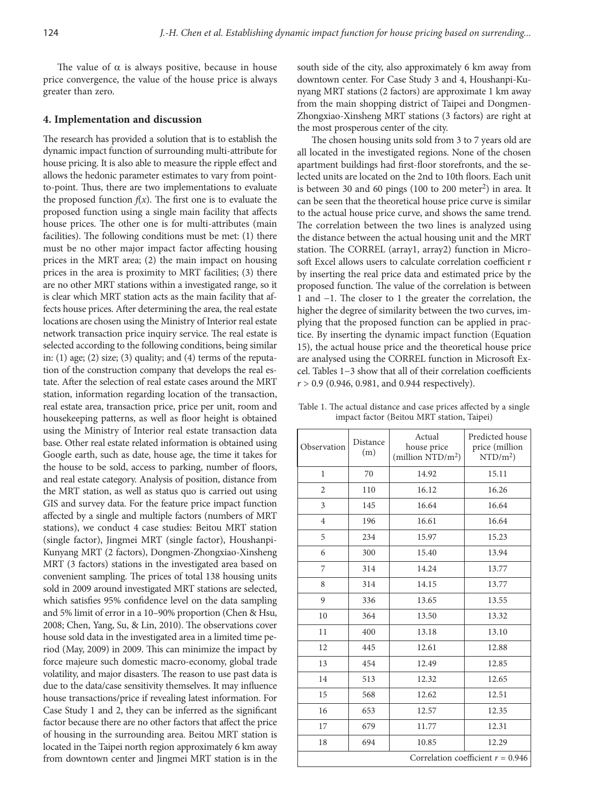The value of  $\alpha$  is always positive, because in house price convergence, the value of the house price is always greater than zero.

## **4. Implementation and discussion**

The research has provided a solution that is to establish the dynamic impact function of surrounding multi-attribute for house pricing. It is also able to measure the ripple effect and allows the hedonic parameter estimates to vary from pointto-point. Thus, there are two implementations to evaluate the proposed function  $f(x)$ . The first one is to evaluate the proposed function using a single main facility that affects house prices. The other one is for multi-attributes (main facilities). The following conditions must be met: (1) there must be no other major impact factor affecting housing prices in the MRT area; (2) the main impact on housing prices in the area is proximity to MRT facilities; (3) there are no other MRT stations within a investigated range, so it is clear which MRT station acts as the main facility that affects house prices. After determining the area, the real estate locations are chosen using the Ministry of Interior real estate network transaction price inquiry service. The real estate is selected according to the following conditions, being similar in: (1) age; (2) size; (3) quality; and (4) terms of the reputation of the construction company that develops the real estate. After the selection of real estate cases around the MRT station, information regarding location of the transaction, real estate area, transaction price, price per unit, room and housekeeping patterns, as well as floor height is obtained using the Ministry of Interior real estate transaction data base. Other real estate related information is obtained using Google earth, such as date, house age, the time it takes for the house to be sold, access to parking, number of floors, and real estate category. Analysis of position, distance from the MRT station, as well as status quo is carried out using GIS and survey data. For the feature price impact function affected by a single and multiple factors (numbers of MRT stations), we conduct 4 case studies: Beitou MRT station (single factor), Jingmei MRT (single factor), Houshanpi-Kunyang MRT (2 factors), Dongmen-Zhongxiao-Xinsheng MRT (3 factors) stations in the investigated area based on convenient sampling. The prices of total 138 housing units sold in 2009 around investigated MRT stations are selected, which satisfies 95% confidence level on the data sampling and 5% limit of error in a 10–90% proportion (Chen & Hsu, 2008; Chen, Yang, Su, & Lin, 2010). The observations cover house sold data in the investigated area in a limited time period (May, 2009) in 2009. This can minimize the impact by force majeure such domestic macro-economy, global trade volatility, and major disasters. The reason to use past data is due to the data/case sensitivity themselves. It may influence house transactions/price if revealing latest information. For Case Study 1 and 2, they can be inferred as the significant factor because there are no other factors that affect the price of housing in the surrounding area. Beitou MRT station is located in the Taipei north region approximately 6 km away from downtown center and Jingmei MRT station is in the

south side of the city, also approximately 6 km away from downtown center. For Case Study 3 and 4, Houshanpi-Kunyang MRT stations (2 factors) are approximate 1 km away from the main shopping district of Taipei and Dongmen-Zhongxiao-Xinsheng MRT stations (3 factors) are right at the most prosperous center of the city.

The chosen housing units sold from 3 to 7 years old are all located in the investigated regions. None of the chosen apartment buildings had first-floor storefronts, and the selected units are located on the 2nd to 10th floors. Each unit is between 30 and 60 pings (100 to 200 meter<sup>2</sup>) in area. It can be seen that the theoretical house price curve is similar to the actual house price curve, and shows the same trend. The correlation between the two lines is analyzed using the distance between the actual housing unit and the MRT station. The CORREL (array1, array2) function in Microsoft Excel allows users to calculate correlation coefficient r by inserting the real price data and estimated price by the proposed function. The value of the correlation is between 1 and −1. The closer to 1 the greater the correlation, the higher the degree of similarity between the two curves, implying that the proposed function can be applied in practice. By inserting the dynamic impact function (Equation 15), the actual house price and the theoretical house price are analysed using the CORREL function in Microsoft Excel. Tables 1−3 show that all of their correlation coefficients *r* > 0.9 (0.946, 0.981, and 0.944 respectively).

Table 1. The actual distance and case prices affected by a single impact factor (Beitou MRT station, Taipei)

| Observation                         | Distance<br>(m) | Actual<br>house price<br>(million $\mathrm{NTD/m^2}$ ) | Predicted house<br>price (million<br>$\mathrm{NTD/m^2}$ |  |
|-------------------------------------|-----------------|--------------------------------------------------------|---------------------------------------------------------|--|
| $\mathbf{1}$                        | 70              | 14.92                                                  | 15.11                                                   |  |
| $\overline{2}$                      | 110             | 16.12                                                  | 16.26                                                   |  |
| 3                                   | 145             | 16.64                                                  | 16.64                                                   |  |
| $\overline{4}$                      | 196             | 16.61                                                  | 16.64                                                   |  |
| 5                                   | 234             | 15.97                                                  | 15.23                                                   |  |
| 6                                   | 300             | 15.40                                                  | 13.94                                                   |  |
| 7                                   | 314             | 14.24                                                  | 13.77                                                   |  |
| 8                                   | 314             | 14.15                                                  | 13.77                                                   |  |
| 9                                   | 336             | 13.65                                                  | 13.55                                                   |  |
| 10                                  | 364             | 13.50                                                  | 13.32                                                   |  |
| 11                                  | 400             | 13.18                                                  | 13.10                                                   |  |
| 12                                  | 445             | 12.61                                                  | 12.88                                                   |  |
| 13                                  | 454             | 12.49                                                  | 12.85                                                   |  |
| 14                                  | 513             | 12.32                                                  | 12.65                                                   |  |
| 15                                  | 568             | 12.62                                                  | 12.51                                                   |  |
| 16                                  | 653             | 12.57                                                  | 12.35                                                   |  |
| 17                                  | 679             | 11.77                                                  | 12.31                                                   |  |
| 18                                  | 694             | 10.85                                                  | 12.29                                                   |  |
| Correlation coefficient $r = 0.946$ |                 |                                                        |                                                         |  |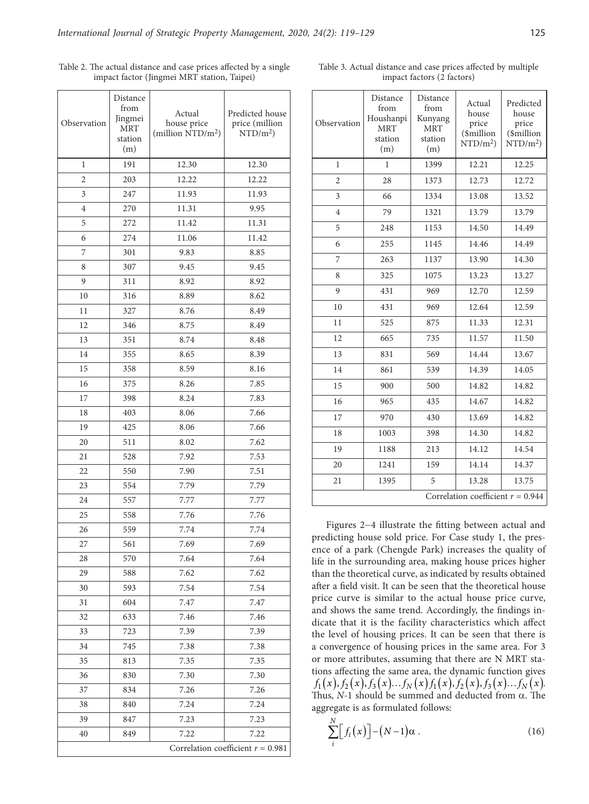| Observation    | Distance<br>from<br>Jingmei<br><b>MRT</b><br>station<br>(m) | Actual<br>house price<br>(million $\rm NTD/m^2$ ) | Predicted house<br>price (million<br>$\mathrm{NTD/m^2}$ |
|----------------|-------------------------------------------------------------|---------------------------------------------------|---------------------------------------------------------|
| 1              | 191                                                         | 12.30                                             | 12.30                                                   |
| $\overline{2}$ | 203                                                         | 12.22                                             | 12.22                                                   |
| 3              | 247                                                         | 11.93                                             | 11.93                                                   |
| 4              | 270                                                         | 11.31                                             | 9.95                                                    |
| 5              | 272                                                         | 11.42                                             | 11.31                                                   |
| 6              | 274                                                         | 11.06                                             | 11.42                                                   |
| 7              | 301                                                         | 9.83                                              | 8.85                                                    |
| 8              | 307                                                         | 9.45                                              | 9.45                                                    |
| 9              | 311                                                         | 8.92                                              | 8.92                                                    |
| 10             | 316                                                         | 8.89                                              | 8.62                                                    |
| 11             | 327                                                         | 8.76                                              | 8.49                                                    |
| 12             | 346                                                         | 8.75                                              | 8.49                                                    |
| 13             | 351                                                         | 8.74                                              | 8.48                                                    |
| 14             | 355                                                         | 8.65                                              | 8.39                                                    |
| 15             | 358                                                         | 8.59                                              | 8.16                                                    |
| 16             | 375                                                         | 8.26                                              | 7.85                                                    |
| 17             | 398                                                         | 8.24                                              | 7.83                                                    |
| 18             | 403                                                         | 8.06                                              | 7.66                                                    |
| 19             | 425                                                         | 8.06                                              | 7.66                                                    |
| 20             | 511                                                         | 8.02                                              | 7.62                                                    |
| 21             | 528                                                         | 7.92                                              | 7.53                                                    |
| 22             | 550                                                         | 7.90                                              | 7.51                                                    |
| 23             | 554                                                         | 7.79                                              | 7.79                                                    |
| 24             | 557                                                         | 7.77                                              | 7.77                                                    |
| 25             | 558                                                         | 7.76                                              | 7.76                                                    |
| 26             | 559                                                         | 7.74                                              | 7.74                                                    |
| 27             | 561                                                         | 7.69                                              | 7.69                                                    |
| 28             | 570                                                         | 7.64                                              | 7.64                                                    |
| 29             | 588                                                         | 7.62                                              | 7.62                                                    |
| 30             | 593                                                         | 7.54                                              | 7.54                                                    |
| 31             | 604                                                         | 7.47                                              | 7.47                                                    |
| 32             | 633                                                         | 7.46                                              | 7.46                                                    |
| 33             | 723                                                         | 7.39                                              | 7.39                                                    |
| 34             | 745                                                         | 7.38                                              | 7.38                                                    |
| 35             | 813                                                         | 7.35                                              | 7.35                                                    |
| 36             | 830                                                         | 7.30                                              | 7.30                                                    |
| 37             | 834                                                         | 7.26                                              | 7.26                                                    |
| 38             | 840                                                         | 7.24                                              | 7.24                                                    |
| 39             | 847                                                         | 7.23                                              | 7.23                                                    |
| 40             | 849                                                         | 7.22                                              | 7.22                                                    |

Correlation coefficient *r* = 0.981

Table 2. The actual distance and case prices affected by a single impact factor (Jingmei MRT station, Taipei)

 $\overline{\phantom{a}}$ 

Table 3. Actual distance and case prices affected by multiple impact factors (2 factors)

| Observation                         | Distance<br>from<br>Houshanpi<br><b>MRT</b><br>station<br>(m) | Distance<br>from<br>Kunyang<br><b>MRT</b><br>station<br>(m) | Actual<br>house<br>price<br>(\$million<br>$\mathrm{NTD/m^2}$ | Predicted<br>house<br>price<br>(\$million<br>$\mathrm{NTD/m^2}$ |  |
|-------------------------------------|---------------------------------------------------------------|-------------------------------------------------------------|--------------------------------------------------------------|-----------------------------------------------------------------|--|
| 1                                   | 1                                                             | 1399                                                        | 12.21                                                        | 12.25                                                           |  |
| $\overline{c}$                      | 28                                                            | 1373                                                        | 12.73                                                        | 12.72                                                           |  |
| 3                                   | 66                                                            | 1334                                                        | 13.08                                                        | 13.52                                                           |  |
| 4                                   | 79                                                            | 1321                                                        | 13.79                                                        | 13.79                                                           |  |
| 5                                   | 248                                                           | 1153                                                        | 14.50                                                        | 14.49                                                           |  |
| 6                                   | 255                                                           | 1145                                                        | 14.46                                                        | 14.49                                                           |  |
| 7                                   | 263                                                           | 1137                                                        | 13.90                                                        | 14.30                                                           |  |
| 8                                   | 325                                                           | 1075                                                        | 13.23                                                        | 13.27                                                           |  |
| 9                                   | 431                                                           | 969                                                         | 12.70                                                        | 12.59                                                           |  |
| 10                                  | 431                                                           | 969                                                         | 12.64                                                        | 12.59                                                           |  |
| 11                                  | 525                                                           | 875                                                         | 11.33                                                        | 12.31                                                           |  |
| 12                                  | 665                                                           | 735                                                         | 11.57                                                        | 11.50                                                           |  |
| 13                                  | 831                                                           | 569                                                         | 14.44                                                        | 13.67                                                           |  |
| 14                                  | 861                                                           | 539                                                         | 14.39                                                        | 14.05                                                           |  |
| 15                                  | 900                                                           | 500                                                         | 14.82                                                        | 14.82                                                           |  |
| 16                                  | 965                                                           | 435                                                         | 14.67                                                        | 14.82                                                           |  |
| 17                                  | 970                                                           | 430                                                         | 13.69                                                        | 14.82                                                           |  |
| 18                                  | 1003                                                          | 398                                                         | 14.30                                                        | 14.82                                                           |  |
| 19                                  | 1188                                                          | 213                                                         | 14.12                                                        | 14.54                                                           |  |
| 20                                  | 1241                                                          | 159                                                         | 14.14                                                        | 14.37                                                           |  |
| 21                                  | 1395                                                          | 5                                                           | 13.28                                                        | 13.75                                                           |  |
| Correlation coefficient $r = 0.944$ |                                                               |                                                             |                                                              |                                                                 |  |

Figures 2−4 illustrate the fitting between actual and predicting house sold price. For Case study 1, the presence of a park (Chengde Park) increases the quality of life in the surrounding area, making house prices higher than the theoretical curve, as indicated by results obtained after a field visit. It can be seen that the theoretical house price curve is similar to the actual house price curve, and shows the same trend. Accordingly, the findings indicate that it is the facility characteristics which affect the level of housing prices. It can be seen that there is a convergence of housing prices in the same area. For 3 or more attributes, assuming that there are N MRT stations affecting the same area, the dynamic function gives  $f_1(x), f_2(x), f_3(x)...f_N(x) f_1(x), f_2(x), f_3(x)...f_N(x)$ . Thus, *N*-1 should be summed and deducted from α. The aggregate is as formulated follows:

$$
\sum_{i}^{N} \Big[ f_i(x) \Big] - (N-1)\alpha . \tag{16}
$$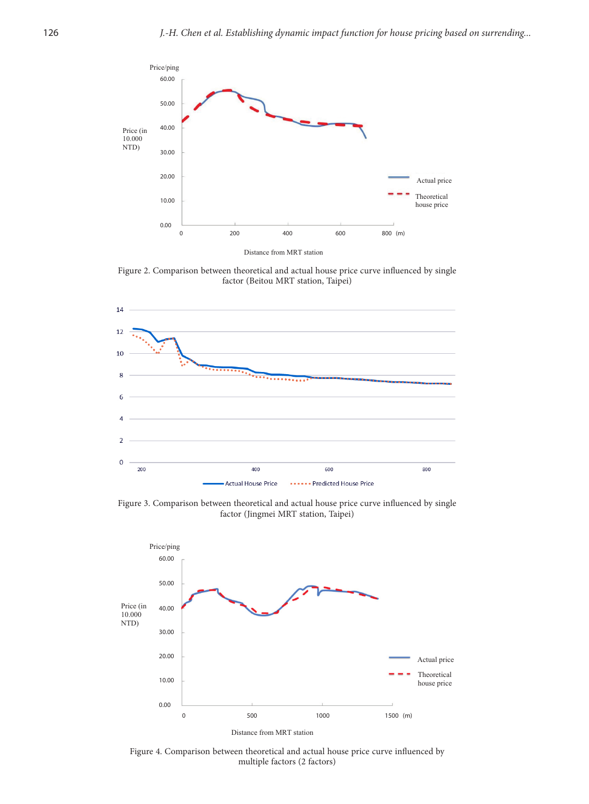

Figure 2. Comparison between theoretical and actual house price curve influenced by single factor (Beitou MRT station, Taipei)



Figure 3. Comparison between theoretical and actual house price curve influenced by single factor (Jingmei MRT station, Taipei)



Distance from MRT station

Figure 4. Comparison between theoretical and actual house price curve influenced by multiple factors (2 factors)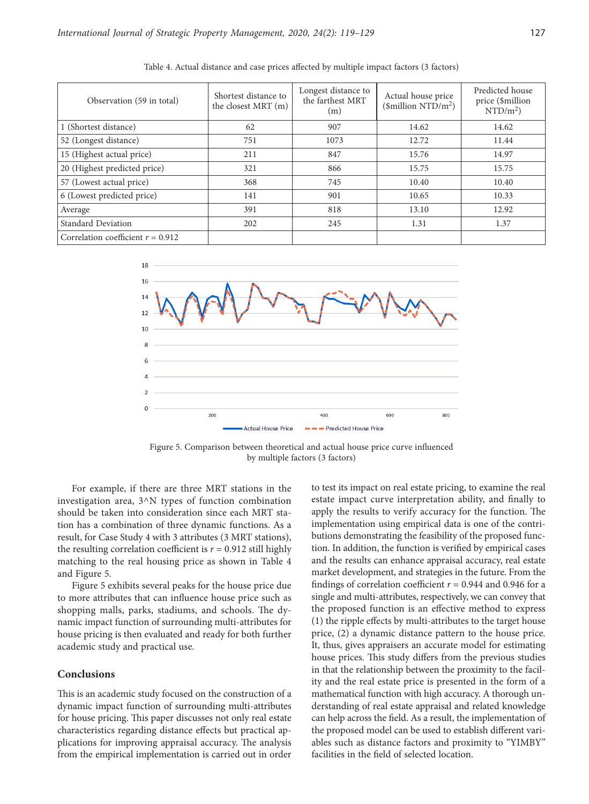| Observation (59 in total)           | Shortest distance to<br>the closest MRT (m) | Longest distance to<br>the farthest MRT<br>(m) | Actual house price<br>$(\text{simillion NTD/m}^2)$ | Predicted house<br>price (\$million<br>$\mathrm{NTD/m^2}$ |
|-------------------------------------|---------------------------------------------|------------------------------------------------|----------------------------------------------------|-----------------------------------------------------------|
| 1 (Shortest distance)               | 62                                          | 907                                            | 14.62                                              | 14.62                                                     |
| 52 (Longest distance)               | 751                                         | 1073                                           | 12.72                                              | 11.44                                                     |
| 15 (Highest actual price)           | 211                                         | 847                                            | 15.76                                              | 14.97                                                     |
| 20 (Highest predicted price)        | 321                                         | 866                                            | 15.75                                              | 15.75                                                     |
| 57 (Lowest actual price)            | 368                                         | 745                                            | 10.40                                              | 10.40                                                     |
| 6 (Lowest predicted price)          | 141                                         | 901                                            | 10.65                                              | 10.33                                                     |
| Average                             | 391                                         | 818                                            | 13.10                                              | 12.92                                                     |
| Standard Deviation                  | 202                                         | 245                                            | 1.31                                               | 1.37                                                      |
| Correlation coefficient $r = 0.912$ |                                             |                                                |                                                    |                                                           |

Table 4. Actual distance and case prices affected by multiple impact factors (3 factors)



Figure 5. Comparison between theoretical and actual house price curve influenced by multiple factors (3 factors)

For example, if there are three MRT stations in the investigation area, 3^N types of function combination should be taken into consideration since each MRT station has a combination of three dynamic functions. As a result, for Case Study 4 with 3 attributes (3 MRT stations), the resulting correlation coefficient is  $r = 0.912$  still highly matching to the real housing price as shown in Table 4 and Figure 5.

Figure 5 exhibits several peaks for the house price due to more attributes that can influence house price such as shopping malls, parks, stadiums, and schools. The dynamic impact function of surrounding multi-attributes for house pricing is then evaluated and ready for both further academic study and practical use.

## **Conclusions**

This is an academic study focused on the construction of a dynamic impact function of surrounding multi-attributes for house pricing. This paper discusses not only real estate characteristics regarding distance effects but practical applications for improving appraisal accuracy. The analysis from the empirical implementation is carried out in order to test its impact on real estate pricing, to examine the real estate impact curve interpretation ability, and finally to apply the results to verify accuracy for the function. The implementation using empirical data is one of the contributions demonstrating the feasibility of the proposed function. In addition, the function is verified by empirical cases and the results can enhance appraisal accuracy, real estate market development, and strategies in the future. From the findings of correlation coefficient  $r = 0.944$  and 0.946 for a single and multi-attributes, respectively, we can convey that the proposed function is an effective method to express (1) the ripple effects by multi-attributes to the target house price, (2) a dynamic distance pattern to the house price. It, thus, gives appraisers an accurate model for estimating house prices. This study differs from the previous studies in that the relationship between the proximity to the facility and the real estate price is presented in the form of a mathematical function with high accuracy. A thorough understanding of real estate appraisal and related knowledge can help across the field. As a result, the implementation of the proposed model can be used to establish different variables such as distance factors and proximity to "YIMBY" facilities in the field of selected location.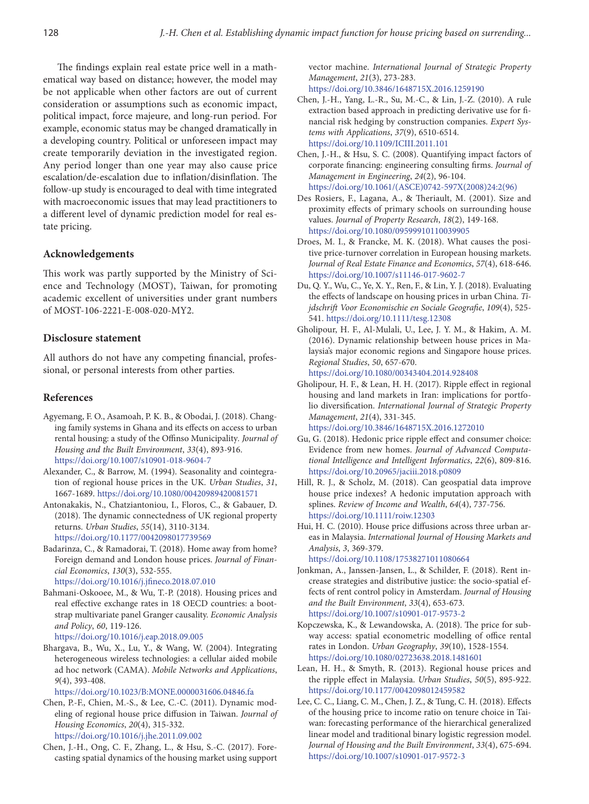The findings explain real estate price well in a mathematical way based on distance; however, the model may be not applicable when other factors are out of current consideration or assumptions such as economic impact, political impact, force majeure, and long-run period. For example, economic status may be changed dramatically in a developing country. Political or unforeseen impact may create temporarily deviation in the investigated region. Any period longer than one year may also cause price escalation/de-escalation due to inflation/disinflation. The follow-up study is encouraged to deal with time integrated with macroeconomic issues that may lead practitioners to a different level of dynamic prediction model for real estate pricing.

## **Acknowledgements**

This work was partly supported by the Ministry of Science and Technology (MOST), Taiwan, for promoting academic excellent of universities under grant numbers of MOST-106-2221-E-008-020-MY2.

# **Disclosure statement**

All authors do not have any competing financial, professional, or personal interests from other parties.

# **References**

- Agyemang, F. O., Asamoah, P. K. B., & Obodai, J. (2018). Changing family systems in Ghana and its effects on access to urban rental housing: a study of the Offinso Municipality*. Journal of Housing and the Built Environment*, *33*(4), 893-916. <https://doi.org/10.1007/s10901-018-9604-7>
- Alexander, C., & Barrow, M. (1994). Seasonality and cointegration of regional house prices in the UK. *Urban Studies*, *31*, 1667-1689. <https://doi.org/10.1080/00420989420081571>
- Antonakakis, N., Chatziantoniou, I., Floros, C., & Gabauer, D. (2018). The dynamic connectedness of UK regional property returns. *Urban Studies*, *55*(14), 3110-3134. <https://doi.org/10.1177/0042098017739569>
- Badarinza, C., & Ramadorai, T. (2018). Home away from home? Foreign demand and London house prices. *Journal of Financial Economics*, *130*(3), 532-555. <https://doi.org/10.1016/j.jfineco.2018.07.010>
- Bahmani-Oskooee, M., & Wu, T.-P. (2018). Housing prices and real effective exchange rates in 18 OECD countries: a bootstrap multivariate panel Granger causality. *Economic Analysis and Policy*, *60*, 119-126.

<https://doi.org/10.1016/j.eap.2018.09.005>

Bhargava, B., Wu, X., Lu, Y., & Wang, W. (2004). Integrating heterogeneous wireless technologies: a cellular aided mobile ad hoc network (CAMA). *Mobile Networks and Applications*, *9*(4), 393-408.

<https://doi.org/10.1023/B:MONE.0000031606.04846.fa>

- Chen, P.-F., Chien, M.-S., & Lee, C.-C. (2011). Dynamic modeling of regional house price diffusion in Taiwan. *Journal of Housing Economics*, *20*(4), 315-332. <https://doi.org/10.1016/j.jhe.2011.09.002>
- Chen, J.-H., Ong, C. F., Zhang, L., & Hsu, S.-C. (2017). Forecasting spatial dynamics of the housing market using support

vector machine. *International Journal of Strategic Property Management*, *21*(3), 273-283. <https://doi.org/10.3846/1648715X.2016.1259190>

- Chen, J.-H., Yang, L.-R., Su, M.-C., & Lin, J.-Z. (2010). A rule extraction based approach in predicting derivative use for financial risk hedging by construction companies. *Expert Systems with Applications*, *37*(9), 6510-6514. <https://doi.org/10.1109/ICIII.2011.101>
- Chen, J.-H., & Hsu, S. C. (2008). Quantifying impact factors of corporate financing: engineering consulting firms. *Journal of Management in Engineering*, *24*(2), 96-104. [https://doi.org/10.1061/\(ASCE\)0742-597X\(2008\)24:2\(96\)](https://doi.org/10.1061/(ASCE)0742-597X(2008)24:2(96))
- Des Rosiers, F., Lagana, A., & Theriault, M. (2001). Size and proximity effects of primary schools on surrounding house values. *Journal of Property Research*, *18*(2), 149-168. <https://doi.org/10.1080/09599910110039905>
- Droes, M. I., & Francke, M. K. (2018). What causes the positive price-turnover correlation in European housing markets. *Journal of Real Estate Finance and Economics*, *57*(4), 618-646. <https://doi.org/10.1007/s11146-017-9602-7>
- Du, Q. Y., Wu, C., Ye, X. Y., Ren, F., & Lin, Y. J. (2018). Evaluating the effects of landscape on housing prices in urban China. *Tijdschrift Voor Economischie en Sociale Geografie*, *109*(4), 525- 541. <https://doi.org/10.1111/tesg.12308>
- Gholipour, H. F., Al-Mulali, U., Lee, J. Y. M., & Hakim, A. M. (2016). Dynamic relationship between house prices in Malaysia's major economic regions and Singapore house prices. *Regional Studies*, *50*, 657-670. <https://doi.org/10.1080/00343404.2014.928408>
- Gholipour, H. F., & Lean, H. H. (2017). Ripple effect in regional housing and land markets in Iran: implications for portfolio diversification. *International Journal of Strategic Property Management*, *21*(4), 331-345. <https://doi.org/10.3846/1648715X.2016.1272010>
- Gu, G. (2018). Hedonic price ripple effect and consumer choice: Evidence from new homes. *Journal of Advanced Computational Intelligence and Intelligent Informatics*, *22*(6), 809-816. <https://doi.org/10.20965/jaciii.2018.p0809>
- Hill, R. J., & Scholz, M. (2018). Can geospatial data improve house price indexes? A hedonic imputation approach with splines. *Review of Income and Wealth*, *64*(4), 737-756. <https://doi.org/10.1111/roiw.12303>
- Hui, H. C. (2010). House price diffusions across three urban areas in Malaysia. *International Journal of Housing Markets and Analysis*, *3*, 369-379.

<https://doi.org/10.1108/17538271011080664>

- Jonkman, A., Janssen-Jansen, L., & Schilder, F. (2018). Rent increase strategies and distributive justice: the socio-spatial effects of rent control policy in Amsterdam. *Journal of Housing and the Built Environment*, *33*(4), 653-673. <https://doi.org/10.1007/s10901-017-9573-2>
- Kopczewska, K., & Lewandowska, A. (2018). The price for subway access: spatial econometric modelling of office rental rates in London. *Urban Geography*, *39*(10), 1528-1554. <https://doi.org/10.1080/02723638.2018.1481601>
- Lean, H. H., & Smyth, R. (2013). Regional house prices and the ripple effect in Malaysia. *Urban Studies*, *50*(5), 895-922. <https://doi.org/10.1177/0042098012459582>
- Lee, C. C., Liang, C. M., Chen, J. Z., & Tung, C. H. (2018). Effects of the housing price to income ratio on tenure choice in Taiwan: forecasting performance of the hierarchical generalized linear model and traditional binary logistic regression model. *Journal of Housing and the Built Environment*, *33*(4), 675-694. <https://doi.org/10.1007/s10901-017-9572-3>